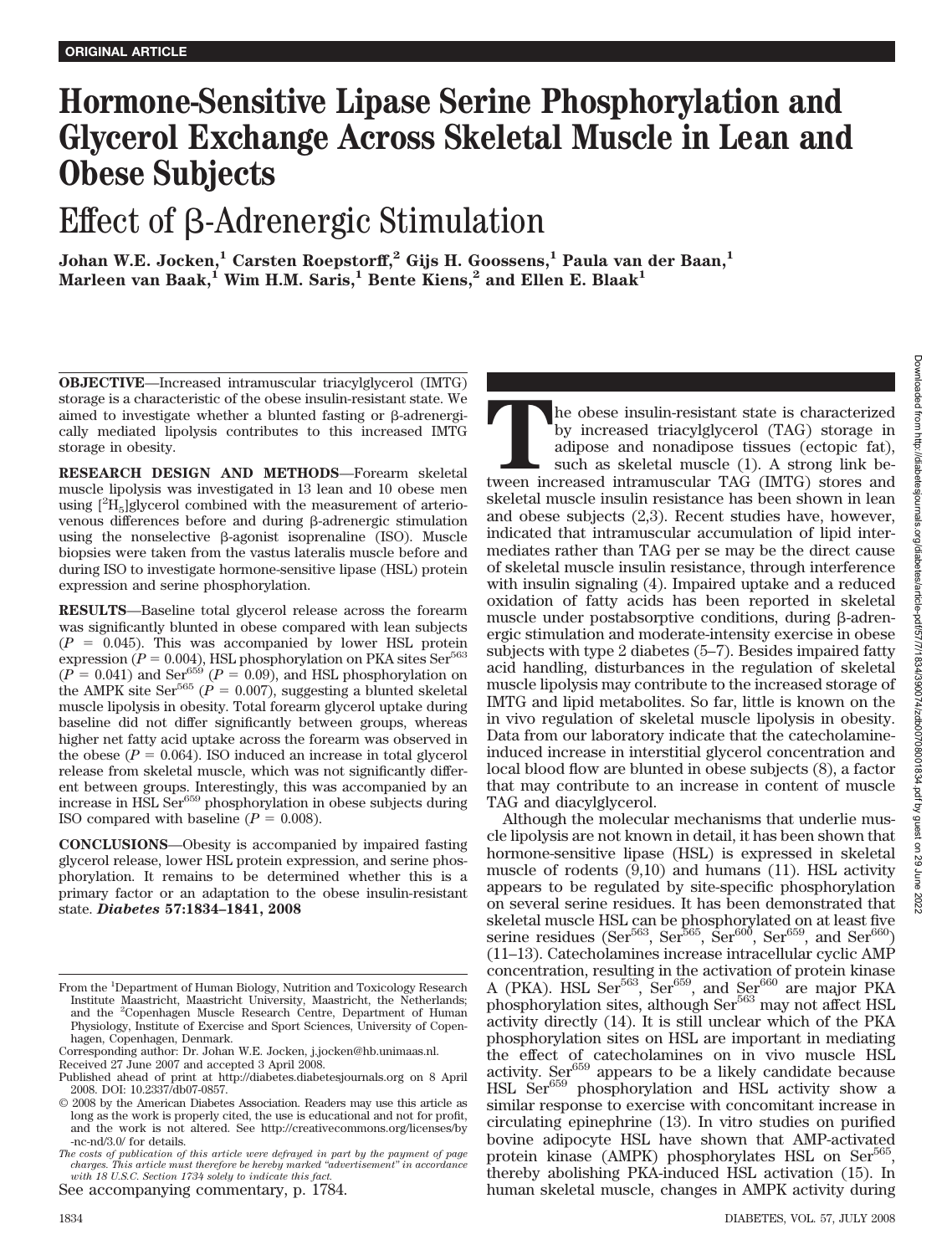# **Hormone-Sensitive Lipase Serine Phosphorylation and Glycerol Exchange Across Skeletal Muscle in Lean and Obese Subjects**

# Effect of  $\beta$ -Adrenergic Stimulation

**Johan W.E. Jocken,<sup>1</sup> Carsten Roepstorff,<sup>2</sup> Gijs H. Goossens,<sup>1</sup> Paula van der Baan,<sup>1</sup> Marleen van Baak,<sup>1</sup> Wim H.M. Saris,<sup>1</sup> Bente Kiens,<sup>2</sup> and Ellen E. Blaak<sup>1</sup>** 

**OBJECTIVE**—Increased intramuscular triacylglycerol (IMTG) storage is a characteristic of the obese insulin-resistant state. We aimed to investigate whether a blunted fasting or  $\beta$ -adrenergically mediated lipolysis contributes to this increased IMTG storage in obesity.

**RESEARCH DESIGN AND METHODS**—Forearm skeletal muscle lipolysis was investigated in 13 lean and 10 obese men using  $[^{2}H_{5}]$ glycerol combined with the measurement of arteriovenous differences before and during  $\beta$ -adrenergic stimulation using the nonselective  $\beta$ -agonist isoprenaline (ISO). Muscle biopsies were taken from the vastus lateralis muscle before and during ISO to investigate hormone-sensitive lipase (HSL) protein expression and serine phosphorylation.

**RESULTS**—Baseline total glycerol release across the forearm was significantly blunted in obese compared with lean subjects  $(P = 0.045)$ . This was accompanied by lower HSL protein  $\exp$ ression ( $P = 0.004$ ), HSL phosphorylation on PKA sites Ser<sup>563</sup>  $(P = 0.041)$  and Ser<sup>659</sup>  $(P = 0.09)$ , and HSL phosphorylation on the AMPK site Ser<sup>565</sup> ( $\vec{P} = 0.007$ ), suggesting a blunted skeletal muscle lipolysis in obesity. Total forearm glycerol uptake during baseline did not differ significantly between groups, whereas higher net fatty acid uptake across the forearm was observed in the obese  $(P = 0.064)$ . ISO induced an increase in total glycerol release from skeletal muscle, which was not significantly different between groups. Interestingly, this was accompanied by an increase in HSL Ser<sup>659</sup> phosphorylation in obese subjects during ISO compared with baseline  $(P = 0.008)$ .

**CONCLUSIONS**—Obesity is accompanied by impaired fasting glycerol release, lower HSL protein expression, and serine phosphorylation. It remains to be determined whether this is a primary factor or an adaptation to the obese insulin-resistant state. *Diabetes* **57:1834–1841, 2008**

See accompanying commentary, p. 1784.

The obese insulin-resistant state is characterized by increased triacylglycerol (TAG) storage in adipose and nonadipose tissues (ectopic fat), such as skeletal muscle (1). A strong link between increased intramuscular TAG by increased triacylglycerol (TAG) storage in adipose and nonadipose tissues (ectopic fat), such as skeletal muscle (1). A strong link beskeletal muscle insulin resistance has been shown in lean and obese subjects (2,3). Recent studies have, however, indicated that intramuscular accumulation of lipid intermediates rather than TAG per se may be the direct cause of skeletal muscle insulin resistance, through interference with insulin signaling (4). Impaired uptake and a reduced oxidation of fatty acids has been reported in skeletal muscle under postabsorptive conditions, during  $\beta$ -adrenergic stimulation and moderate-intensity exercise in obese subjects with type 2 diabetes (5–7). Besides impaired fatty acid handling, disturbances in the regulation of skeletal muscle lipolysis may contribute to the increased storage of IMTG and lipid metabolites. So far, little is known on the in vivo regulation of skeletal muscle lipolysis in obesity. Data from our laboratory indicate that the catecholamineinduced increase in interstitial glycerol concentration and local blood flow are blunted in obese subjects (8), a factor that may contribute to an increase in content of muscle TAG and diacylglycerol.

Although the molecular mechanisms that underlie muscle lipolysis are not known in detail, it has been shown that hormone-sensitive lipase (HSL) is expressed in skeletal muscle of rodents (9,10) and humans (11). HSL activity appears to be regulated by site-specific phosphorylation on several serine residues. It has been demonstrated that skeletal muscle HSL can be phosphorylated on at least five serine residues (Ser<sup>563</sup>, Ser<sup>565</sup>, Ser<sup>600</sup>, Ser<sup>659</sup>, and Ser<sup>660</sup>) (11–13). Catecholamines increase intracellular cyclic AMP concentration, resulting in the activation of protein kinase A (PKA). HSL Ser<sup>563</sup>, Ser<sup>659</sup>, and Ser<sup>660</sup> are major PKA phosphorylation sites, although Ser<sup>563</sup> may not affect HSL activity directly (14). It is still unclear which of the PKA phosphorylation sites on HSL are important in mediating the effect of catecholamines on in vivo muscle HSL activity. Ser<sup>659</sup> appears to be a likely candidate because HSL Ser<sup>659</sup> phosphorylation and HSL activity show a similar response to exercise with concomitant increase in circulating epinephrine (13). In vitro studies on purified bovine adipocyte HSL have shown that AMP-activated protein kinase (AMPK) phosphorylates HSL on  $\text{Ser}^{565}$ thereby abolishing PKA-induced HSL activation (15). In human skeletal muscle, changes in AMPK activity during

From the <sup>1</sup>Department of Human Biology, Nutrition and Toxicology Research Institute Maastricht, Maastricht University, Maastricht, the Netherlands; and the <sup>2</sup>Copenhagen Muscle Research Centre, Department of Human Physiology, Institute of Exercise and Sport Sciences, University of Copenhagen, Copenhagen, Denmark.

Corresponding author: Dr. Johan W.E. Jocken, j.jocken@hb.unimaas.nl.

Received 27 June 2007 and accepted 3 April 2008.

Published ahead of print at http://diabetes.diabetesjournals.org on 8 April 2008. DOI: 10.2337/db07-0857.

<sup>© 2008</sup> by the American Diabetes Association. Readers may use this article as long as the work is properly cited, the use is educational and not for profit, and the work is not altered. See http://creativecommons.org/licenses/by -nc-nd/3.0/ for details.

*The costs of publication of this article were defrayed in part by the payment of page charges. This article must therefore be hereby marked "advertisement" in accordance with 18 U.S.C. Section 1734 solely to indicate this fact.*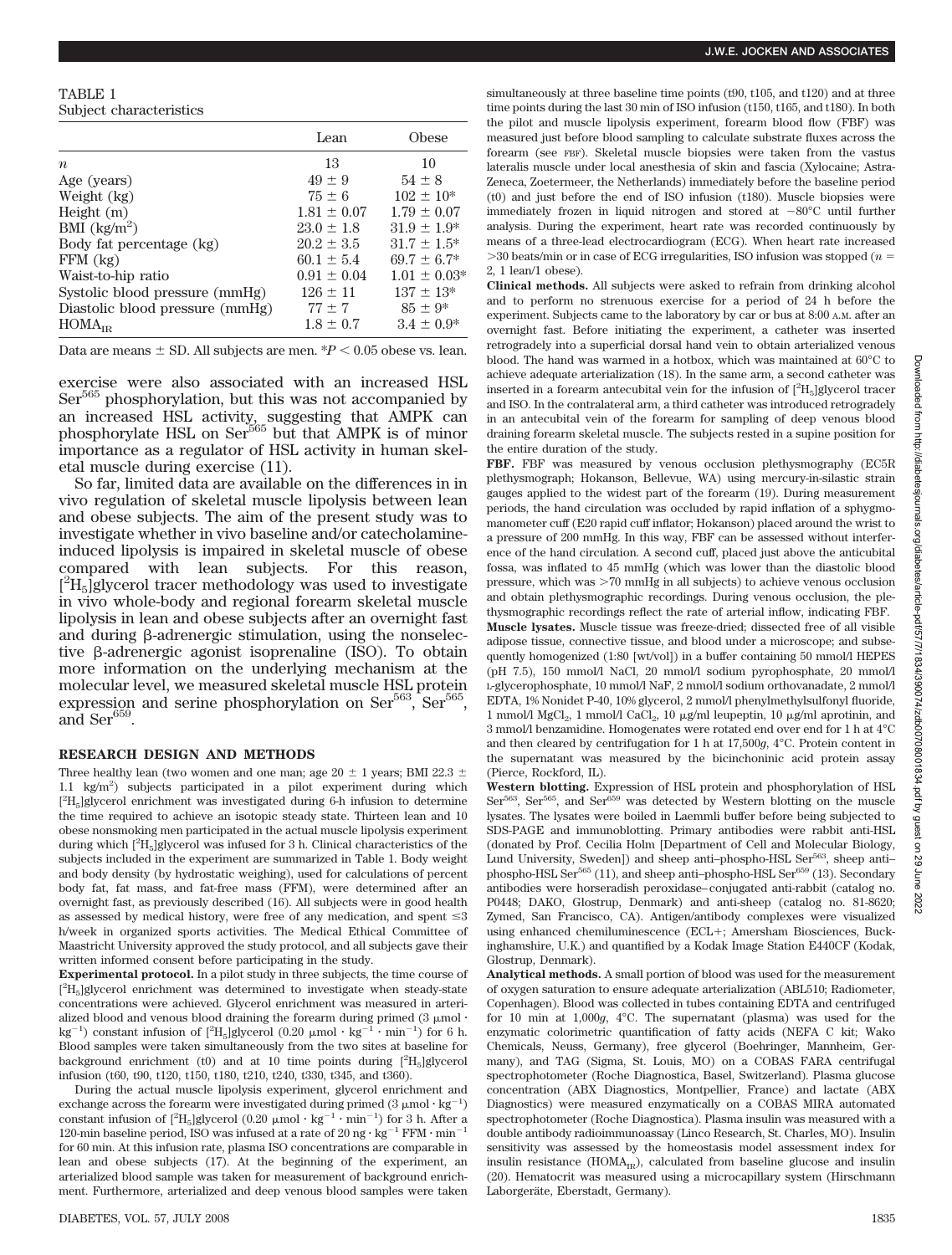### TABLE 1 Subject characteristics

|                                 | Lean            | Obese            |
|---------------------------------|-----------------|------------------|
| $\boldsymbol{n}$                | 13              | 10               |
| Age (years)                     | $49 + 9$        | $54 \pm 8$       |
| Weight (kg)                     | $75 \pm 6$      | $102 \pm 10^*$   |
| Height $(m)$                    | $1.81 \pm 0.07$ | $1.79 \pm 0.07$  |
| BMI $(kg/m^2)$                  | $23.0 + 1.8$    | $31.9 \pm 1.9^*$ |
| Body fat percentage (kg)        | $20.2 \pm 3.5$  | $31.7 \pm 1.5^*$ |
| $FFM$ $(kg)$                    | $60.1 + 5.4$    | $69.7 \pm 6.7^*$ |
| Waist-to-hip ratio              | $0.91 \pm 0.04$ | $1.01 \pm 0.03*$ |
| Systolic blood pressure (mmHg)  | $126 \pm 11$    | $137 \pm 13*$    |
| Diastolic blood pressure (mmHg) | $77 \pm 7$      | $85 \pm 9*$      |
| HOMA <sub>IR</sub>              | $1.8 \pm 0.7$   | $3.4 \pm 0.9^*$  |

Data are means  $\pm$  SD. All subjects are men.  $P < 0.05$  obese vs. lean.

exercise were also associated with an increased HSL Ser<sup>565</sup> phosphorylation, but this was not accompanied by an increased HSL activity, suggesting that AMPK can phosphorylate HSL on Ser<sup>565</sup> but that AMPK is of minor importance as a regulator of HSL activity in human skeletal muscle during exercise (11).

So far, limited data are available on the differences in in vivo regulation of skeletal muscle lipolysis between lean and obese subjects. The aim of the present study was to investigate whether in vivo baseline and/or catecholamineinduced lipolysis is impaired in skeletal muscle of obese compared with lean subjects. For this reason,  $[{}^{2}H_{5}]$ glycerol tracer methodology was used to investigate in vivo whole-body and regional forearm skeletal muscle lipolysis in lean and obese subjects after an overnight fast and during  $\beta$ -adrenergic stimulation, using the nonselective  $\beta$ -adrenergic agonist isoprenaline (ISO). To obtain more information on the underlying mechanism at the molecular level, we measured skeletal muscle HSL protein expression and serine phosphorylation on  $\text{Ser}^{563}$ ,  $\text{Ser}^{565}$ and  $\text{Ser}^{659}$ .

## **RESEARCH DESIGN AND METHODS**

Three healthy lean (two women and one man; age 20  $\pm$  1 years; BMI 22.3  $\pm$ 1.1 kg/m2 ) subjects participated in a pilot experiment during which  $\rm [^2H_5]$ glycerol enrichment was investigated during 6-h infusion to determine the time required to achieve an isotopic steady state. Thirteen lean and 10 obese nonsmoking men participated in the actual muscle lipolysis experiment during which  $[^2\mathrm{H}_5]$  glycerol was infused for  $3$  h. Clinical characteristics of the subjects included in the experiment are summarized in Table 1. Body weight and body density (by hydrostatic weighing), used for calculations of percent body fat, fat mass, and fat-free mass (FFM), were determined after an overnight fast, as previously described (16). All subjects were in good health as assessed by medical history, were free of any medication, and spent  $\leq 3$ h/week in organized sports activities. The Medical Ethical Committee of Maastricht University approved the study protocol, and all subjects gave their written informed consent before participating in the study.

**Experimental protocol.** In a pilot study in three subjects, the time course of  $[^{2}{\rm H}_5]$ glycerol enrichment was determined to investigate when steady-state concentrations were achieved. Glycerol enrichment was measured in arterialized blood and venous blood draining the forearm during primed  $(3 \mu \text{mol} \cdot \text{m}^{-1})$ kg $^{-1})$  constant infusion of  $[^2\text{H}_5]$ glycerol (0.20  $\upmu \text{mol} \cdot \text{kg}^{-1} \cdot \text{min}^{-1})$  for 6 h. Blood samples were taken simultaneously from the two sites at baseline for background enrichment (t0) and at 10 time points during  $[{}^{2}H_{5}]$ glycerol infusion (t60, t90, t120, t150, t180, t210, t240, t330, t345, and t360).

During the actual muscle lipolysis experiment, glycerol enrichment and exchange across the forearm were investigated during primed  $(3 \mu mol \cdot kg^{-1})$ constant infusion of  $[^2\mathrm{H}_5]$ glycerol (0.20  $\upmu \text{mol}\cdot \text{kg}^{-1} \cdot \text{min}^{-1})$  for 3 h. After a 120-min baseline period, ISO was infused at a rate of 20 ng  $\cdot$  kg<sup>-1</sup> FFM  $\cdot$  min<sup>-1</sup> for 60 min. At this infusion rate, plasma ISO concentrations are comparable in lean and obese subjects (17). At the beginning of the experiment, an arterialized blood sample was taken for measurement of background enrichment. Furthermore, arterialized and deep venous blood samples were taken simultaneously at three baseline time points (t90, t105, and t120) and at three time points during the last 30 min of ISO infusion (t150, t165, and t180). In both the pilot and muscle lipolysis experiment, forearm blood flow (FBF) was measured just before blood sampling to calculate substrate fluxes across the forearm (see FBF). Skeletal muscle biopsies were taken from the vastus lateralis muscle under local anesthesia of skin and fascia (Xylocaine; Astra-Zeneca, Zoetermeer, the Netherlands) immediately before the baseline period (t0) and just before the end of ISO infusion (t180). Muscle biopsies were immediately frozen in liquid nitrogen and stored at  $-80^{\circ}\text{C}$  until further analysis. During the experiment, heart rate was recorded continuously by means of a three-lead electrocardiogram (ECG). When heart rate increased 30 beats/min or in case of ECG irregularities, ISO infusion was stopped (*n* - 2, 1 lean/1 obese).

**Clinical methods.** All subjects were asked to refrain from drinking alcohol and to perform no strenuous exercise for a period of 24 h before the experiment. Subjects came to the laboratory by car or bus at 8:00 A.M. after an overnight fast. Before initiating the experiment, a catheter was inserted retrogradely into a superficial dorsal hand vein to obtain arterialized venous blood. The hand was warmed in a hotbox, which was maintained at 60°C to achieve adequate arterialization (18). In the same arm, a second catheter was inserted in a forearm antecubital vein for the infusion of  $[^{2}{\rm H}_5]$ glycerol tracer and ISO. In the contralateral arm, a third catheter was introduced retrogradely in an antecubital vein of the forearm for sampling of deep venous blood draining forearm skeletal muscle. The subjects rested in a supine position for the entire duration of the study.

**FBF.** FBF was measured by venous occlusion plethysmography (EC5R plethysmograph; Hokanson, Bellevue, WA) using mercury-in-silastic strain gauges applied to the widest part of the forearm (19). During measurement periods, the hand circulation was occluded by rapid inflation of a sphygmomanometer cuff (E20 rapid cuff inflator; Hokanson) placed around the wrist to a pressure of 200 mmHg. In this way, FBF can be assessed without interference of the hand circulation. A second cuff, placed just above the anticubital fossa, was inflated to 45 mmHg (which was lower than the diastolic blood pressure, which was 70 mmHg in all subjects) to achieve venous occlusion and obtain plethysmographic recordings. During venous occlusion, the plethysmographic recordings reflect the rate of arterial inflow, indicating FBF. **Muscle lysates.** Muscle tissue was freeze-dried; dissected free of all visible adipose tissue, connective tissue, and blood under a microscope; and subsequently homogenized (1:80 [wt/vol]) in a buffer containing 50 mmol/l HEPES (pH 7.5), 150 mmol/l NaCl, 20 mmol/l sodium pyrophosphate, 20 mmol/l L-glycerophosphate, 10 mmol/l NaF, 2 mmol/l sodium orthovanadate, 2 mmol/l EDTA, 1% Nonidet P-40, 10% glycerol, 2 mmol/l phenylmethylsulfonyl fluoride, 1 mmol/l MgCl<sub>2</sub>, 1 mmol/l CaCl<sub>2</sub>, 10  $\mu$ g/ml leupeptin, 10  $\mu$ g/ml aprotinin, and 3 mmol/l benzamidine. Homogenates were rotated end over end for 1 h at 4°C and then cleared by centrifugation for 1 h at 17,500*g*, 4°C. Protein content in the supernatant was measured by the bicinchoninic acid protein assay (Pierce, Rockford, IL).

**Western blotting.** Expression of HSL protein and phosphorylation of HSL Ser<sup>563</sup>, Ser<sup>565</sup>, and Ser $^{659}$  was detected by Western blotting on the muscle lysates. The lysates were boiled in Laemmli buffer before being subjected to SDS-PAGE and immunoblotting. Primary antibodies were rabbit anti-HSL (donated by Prof. Cecilia Holm [Department of Cell and Molecular Biology, Lund University, Sweden]) and sheep anti-phospho-HSL Ser<sup>563</sup>, sheep antiphospho-HSL Ser<sup>565</sup> (11), and sheep anti-phospho-HSL Ser<sup>659</sup> (13). Secondary antibodies were horseradish peroxidase–conjugated anti-rabbit (catalog no. P0448; DAKO, Glostrup, Denmark) and anti-sheep (catalog no. 81-8620; Zymed, San Francisco, CA). Antigen/antibody complexes were visualized using enhanced chemiluminescence (ECL+; Amersham Biosciences, Buckinghamshire, U.K.) and quantified by a Kodak Image Station E440CF (Kodak, Glostrup, Denmark).

**Analytical methods.** A small portion of blood was used for the measurement of oxygen saturation to ensure adequate arterialization (ABL510; Radiometer, Copenhagen). Blood was collected in tubes containing EDTA and centrifuged for 10 min at 1,000*g*, 4°C. The supernatant (plasma) was used for the enzymatic colorimetric quantification of fatty acids (NEFA C kit; Wako Chemicals, Neuss, Germany), free glycerol (Boehringer, Mannheim, Germany), and TAG (Sigma, St. Louis, MO) on a COBAS FARA centrifugal spectrophotometer (Roche Diagnostica, Basel, Switzerland). Plasma glucose concentration (ABX Diagnostics, Montpellier, France) and lactate (ABX Diagnostics) were measured enzymatically on a COBAS MIRA automated spectrophotometer (Roche Diagnostica). Plasma insulin was measured with a double antibody radioimmunoassay (Linco Research, St. Charles, MO). Insulin sensitivity was assessed by the homeostasis model assessment index for insulin resistance ( $HOMA_{IR}$ ), calculated from baseline glucose and insulin (20). Hematocrit was measured using a microcapillary system (Hirschmann Laborgeräte, Eberstadt, Germany).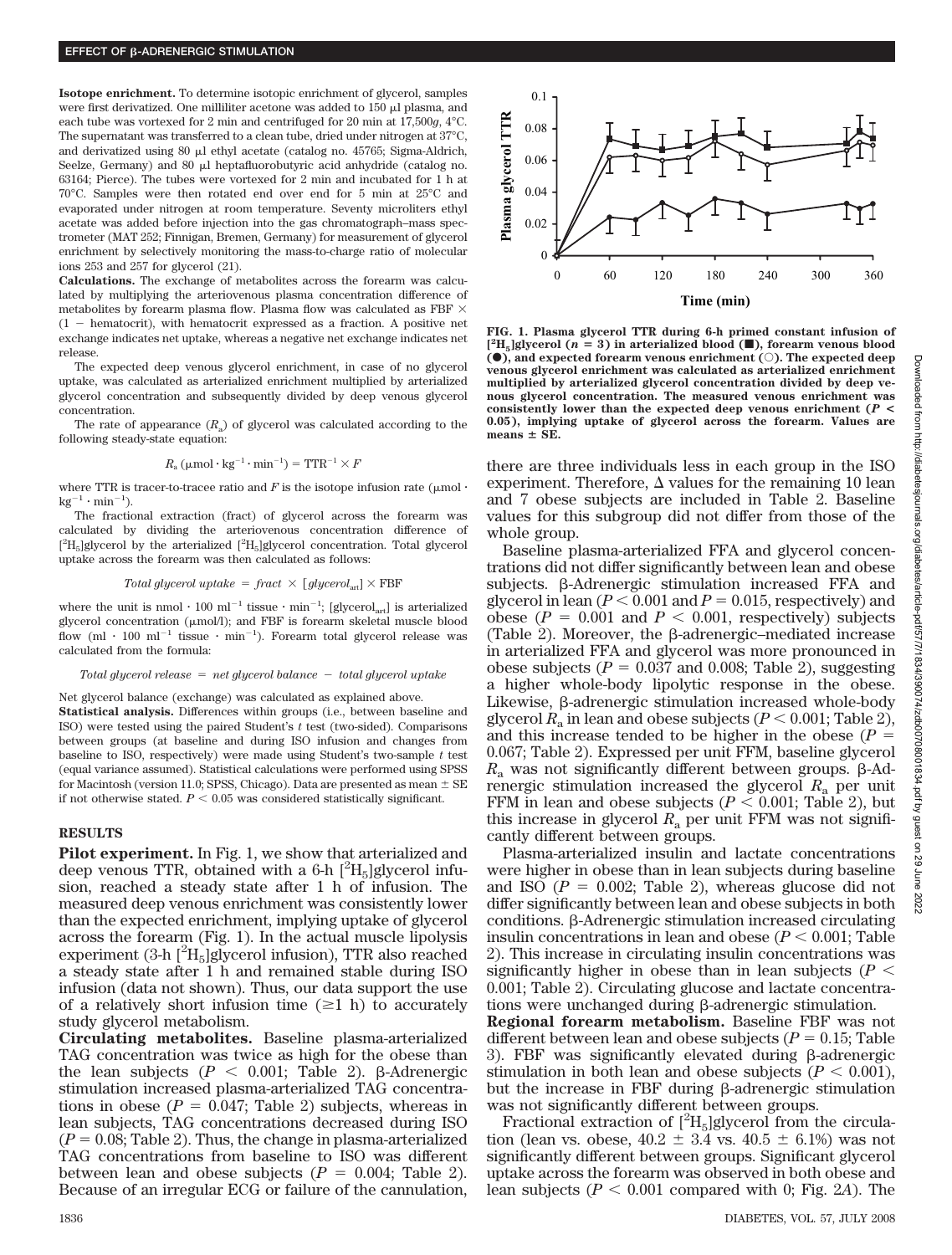**Isotope enrichment.** To determine isotopic enrichment of glycerol, samples were first derivatized. One milliliter acetone was added to  $150 \mu$  plasma, and each tube was vortexed for 2 min and centrifuged for 20 min at 17,500*g*, 4°C. The supernatant was transferred to a clean tube, dried under nitrogen at 37°C, and derivatized using  $80 \mu l$  ethyl acetate (catalog no. 45765; Sigma-Aldrich, Seelze, Germany) and 80 µl heptafluorobutyric acid anhydride (catalog no. 63164; Pierce). The tubes were vortexed for 2 min and incubated for 1 h at 70°C. Samples were then rotated end over end for 5 min at 25°C and evaporated under nitrogen at room temperature. Seventy microliters ethyl acetate was added before injection into the gas chromatograph–mass spectrometer (MAT 252; Finnigan, Bremen, Germany) for measurement of glycerol enrichment by selectively monitoring the mass-to-charge ratio of molecular ions 253 and 257 for glycerol (21).

**Calculations.** The exchange of metabolites across the forearm was calculated by multiplying the arteriovenous plasma concentration difference of metabolites by forearm plasma flow. Plasma flow was calculated as FBF  $\times$  $(1 -$  hematocrit), with hematocrit expressed as a fraction. A positive net exchange indicates net uptake, whereas a negative net exchange indicates net release.

The expected deep venous glycerol enrichment, in case of no glycerol uptake, was calculated as arterialized enrichment multiplied by arterialized glycerol concentration and subsequently divided by deep venous glycerol concentration.

The rate of appearance  $(R_a)$  of glycerol was calculated according to the following steady-state equation:

$$
R_{\rm a}\,(\mu\mathrm{mol}\cdot\mathrm{kg}^{-1}\cdot\mathrm{min}^{-1})=\mathrm{TTR}^{-1}\times F
$$

where TTR is tracer-to-tracee ratio and  $F$  is the isotope infusion rate ( $\mu$ mol·  $kg^{-1} \cdot min^{-1}$ ).

The fractional extraction (fract) of glycerol across the forearm was calculated by dividing the arteriovenous concentration difference of  $[^2\mathrm{H}_5]$ glycerol by the arterialized  $[^2\mathrm{H}_5]$ glycerol concentration. Total glycerol uptake across the forearm was then calculated as follows:

$$
Total\ glycerol\ uptake\ =\text{fract}\ \times\ [\text{glycerol}_{art}]\times\text{FBF}
$$

where the unit is nmol  $\cdot 100 \text{ ml}^{-1}$  tissue  $\cdot \text{ min}^{-1}$ ; [glycerol<sub>art</sub>] is arterialized glycerol concentration ( $\mu$ mol/l); and FBF is forearm skeletal muscle blood flow  ${\rm (ml \cdot 100 \ ml^{-1}}$  tissue  ${\rm \cdot \ min^{-1}}$ ). Forearm total glycerol release was calculated from the formula:

#### *Total glycerol release* - *net glycerol balance total glycerol uptake*

Net glycerol balance (exchange) was calculated as explained above. **Statistical analysis.** Differences within groups (i.e., between baseline and ISO) were tested using the paired Student's *t* test (two-sided). Comparisons between groups (at baseline and during ISO infusion and changes from baseline to ISO, respectively) were made using Student's two-sample *t* test (equal variance assumed). Statistical calculations were performed using SPSS for Macintosh (version 11.0; SPSS, Chicago). Data are presented as mean  $\pm$  SE if not otherwise stated.  $P < 0.05$  was considered statistically significant.

### **RESULTS**

**Pilot experiment.** In Fig. 1, we show that arterialized and deep venous TTR, obtained with a 6-h  $[^{2}H_{5}]$ glycerol infusion, reached a steady state after 1 h of infusion. The measured deep venous enrichment was consistently lower than the expected enrichment, implying uptake of glycerol across the forearm (Fig. 1). In the actual muscle lipolysis experiment  $(3-h [^2H_5]$ glycerol infusion), TTR also reached a steady state after 1 h and remained stable during ISO infusion (data not shown). Thus, our data support the use of a relatively short infusion time  $(\geq 1$  h) to accurately study glycerol metabolism.

**Circulating metabolites.** Baseline plasma-arterialized TAG concentration was twice as high for the obese than the lean subjects  $(P < 0.001$ ; Table 2).  $\beta$ -Adrenergic stimulation increased plasma-arterialized TAG concentrations in obese  $(P = 0.047;$  Table 2) subjects, whereas in lean subjects, TAG concentrations decreased during ISO  $(P = 0.08;$  Table 2). Thus, the change in plasma-arterialized TAG concentrations from baseline to ISO was different between lean and obese subjects  $(P = 0.004;$  Table 2). Because of an irregular ECG or failure of the cannulation,



**FIG. 1. Plasma glycerol TTR during 6-h primed constant infusion of**  $[^{2}H_{5}]$ glycerol (*n* = 3) in arterialized blood ( $\blacksquare$ ), forearm venous blood **(0), and expected forearm venous enrichment (0). The expected deep venous glycerol enrichment was calculated as arterialized enrichment multiplied by arterialized glycerol concentration divided by deep venous glycerol concentration. The measured venous enrichment was consistently lower than the expected deep venous enrichment (***P* **< 0.05), implying uptake of glycerol across the forearm. Values are**  $means \pm SE$ .

there are three individuals less in each group in the ISO experiment. Therefore,  $\Delta$  values for the remaining 10 lean and 7 obese subjects are included in Table 2. Baseline values for this subgroup did not differ from those of the whole group.

Baseline plasma-arterialized FFA and glycerol concentrations did not differ significantly between lean and obese subjects.  $\beta$ -Adrenergic stimulation increased FFA and glycerol in lean  $(P < 0.001$  and  $P = 0.015$ , respectively) and obese ( $P = 0.001$  and  $P < 0.001$ , respectively) subjects (Table 2). Moreover, the  $\beta$ -adrenergic–mediated increase in arterialized FFA and glycerol was more pronounced in obese subjects  $(P = 0.037 \text{ and } 0.008; \text{ Table 2})$ , suggesting a higher whole-body lipolytic response in the obese. Likewise,  $\beta$ -adrenergic stimulation increased whole-body glycerol  $R_a$  in lean and obese subjects ( $P < 0.001$ ; Table 2), and this increase tended to be higher in the obese  $(P =$ 0.067; Table 2). Expressed per unit FFM, baseline glycerol  $R_a$  was not significantly different between groups.  $\beta$ -Adrenergic stimulation increased the glycerol *R*<sup>a</sup> per unit FFM in lean and obese subjects  $(P < 0.001$ ; Table 2), but this increase in glycerol  $R_a$  per unit FFM was not significantly different between groups.

Plasma-arterialized insulin and lactate concentrations were higher in obese than in lean subjects during baseline and ISO  $(P = 0.002;$  Table 2), whereas glucose did not differ significantly between lean and obese subjects in both conditions. β-Adrenergic stimulation increased circulating insulin concentrations in lean and obese  $(P < 0.001$ ; Table 2). This increase in circulating insulin concentrations was significantly higher in obese than in lean subjects ( $P$  < 0.001; Table 2). Circulating glucose and lactate concentrations were unchanged during  $\beta$ -adrenergic stimulation.

**Regional forearm metabolism.** Baseline FBF was not different between lean and obese subjects ( $P = 0.15$ ; Table 3). FBF was significantly elevated during  $\beta$ -adrenergic stimulation in both lean and obese subjects  $(P < 0.001)$ , but the increase in FBF during  $\beta$ -adrenergic stimulation was not significantly different between groups.

Fractional extraction of  $[^{2}H_{5}]$ glycerol from the circulation (lean vs. obese,  $40.2 \pm 3.4$  vs.  $40.5 \pm 6.1$ %) was not significantly different between groups. Significant glycerol uptake across the forearm was observed in both obese and lean subjects  $(P < 0.001$  compared with 0; Fig. 2*A*). The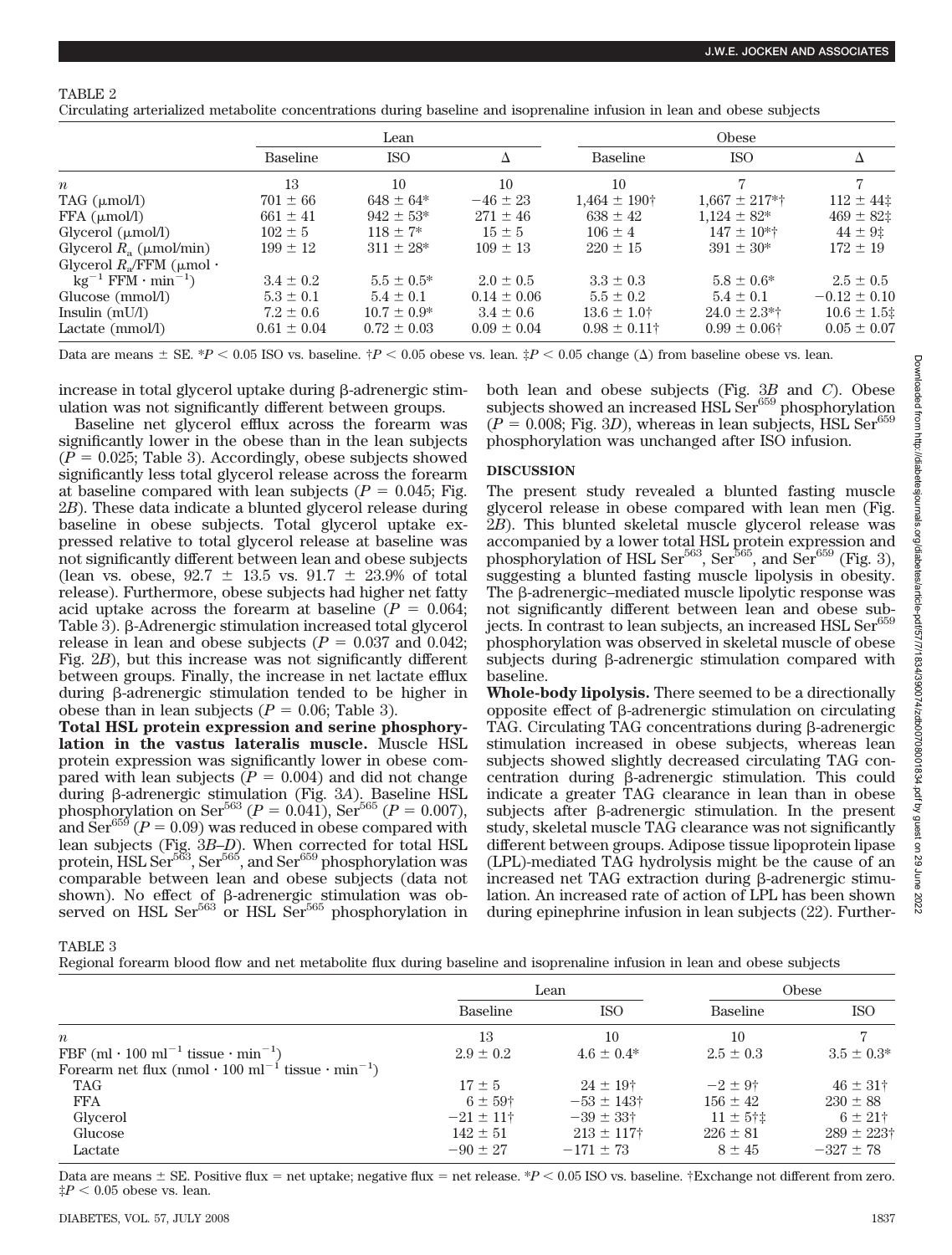Circulating arterialized metabolite concentrations during baseline and isoprenaline infusion in lean and obese subjects

|                                           | Lean            |                  |                 | Obese             |                    |                  |
|-------------------------------------------|-----------------|------------------|-----------------|-------------------|--------------------|------------------|
|                                           | <b>Baseline</b> | <b>ISO</b>       |                 | <b>Baseline</b>   | <b>ISO</b>         | Δ                |
| $\boldsymbol{n}$                          | 13              | 10               | 10              | 10                |                    |                  |
| TAG $(\mu \text{mol/l})$                  | $701 \pm 66$    | $648 \pm 64*$    | $-46 \pm 23$    | $1.464 \pm 190^+$ | $1.667 \pm 217$ *† | $112 \pm 44$     |
| FFA (µmol/l)                              | $661 \pm 41$    | $942 \pm 53*$    | $271 \pm 46$    | $638 \pm 42$      | $1,124 \pm 82*$    | $469 \pm 82$ ‡   |
| Glycerol $(\mu \text{mol/l})$             | $102 \pm 5$     | $118 \pm 7^*$    | $15 \pm 5$      | $106 \pm 4$       | $147 \pm 10^{*+}$  | $44 \pm 9$ :     |
| Glycerol $R_a$ ( $\mu$ mol/min)           | $199 \pm 12$    | $311 \pm 28$ *   | $109 \pm 13$    | $220 \pm 15$      | $391 \pm 30*$      | $172 \pm 19$     |
| Glycerol $R_{\alpha}$ /FFM ( $\mu$ mol·   |                 |                  |                 |                   |                    |                  |
| $kg^{-1}$ FFM $\cdot$ min <sup>-1</sup> ) | $3.4 \pm 0.2$   | $5.5 \pm 0.5^*$  | $2.0 \pm 0.5$   | $3.3 \pm 0.3$     | $5.8 \pm 0.6^*$    | $2.5 \pm 0.5$    |
| Glucose (mmol/l)                          | $5.3 \pm 0.1$   | $5.4 \pm 0.1$    | $0.14 \pm 0.06$ | $5.5 \pm 0.2$     | $5.4 \pm 0.1$      | $-0.12 \pm 0.10$ |
| Insulin $(mU/l)$                          | $7.2 \pm 0.6$   | $10.7 \pm 0.9^*$ | $3.4 \pm 0.6$   | $13.6 \pm 1.0^+$  | $24.0 \pm 2.3$ *†  | $10.6 \pm 1.5$   |
| Lactate (mmol/l)                          | $0.61 \pm 0.04$ | $0.72 \pm 0.03$  | $0.09 \pm 0.04$ | $0.98 \pm 0.11$ † | $0.99 \pm 0.06$ †  | $0.05 \pm 0.07$  |

Data are means  $\pm$  SE. \**P* < 0.05 ISO vs. baseline.  $\frac{p}{q}$  < 0.05 obese vs. lean.  $\frac{p}{q}$  < 0.05 change ( $\Delta$ ) from baseline obese vs. lean.

increase in total glycerol uptake during  $\beta$ -adrenergic stimulation was not significantly different between groups.

Baseline net glycerol efflux across the forearm was significantly lower in the obese than in the lean subjects  $(P = 0.025;$  Table 3). Accordingly, obese subjects showed significantly less total glycerol release across the forearm at baseline compared with lean subjects ( $P = 0.045$ ; Fig. 2*B*). These data indicate a blunted glycerol release during baseline in obese subjects. Total glycerol uptake expressed relative to total glycerol release at baseline was not significantly different between lean and obese subjects (lean vs. obese,  $92.7 \pm 13.5$  vs.  $91.7 \pm 23.9$ % of total release). Furthermore, obese subjects had higher net fatty acid uptake across the forearm at baseline  $(P = 0.064;$ Table 3).  $\beta$ -Adrenergic stimulation increased total glycerol release in lean and obese subjects  $(P = 0.037 \text{ and } 0.042;$ Fig. 2*B*), but this increase was not significantly different between groups. Finally, the increase in net lactate efflux during β-adrenergic stimulation tended to be higher in obese than in lean subjects  $(P = 0.06;$  Table 3).

**Total HSL protein expression and serine phosphorylation in the vastus lateralis muscle.** Muscle HSL protein expression was significantly lower in obese compared with lean subjects  $(P = 0.004)$  and did not change during β-adrenergic stimulation (Fig. 3*A*). Baseline HSL phosphorylation on Ser<sup>563</sup> ( $P = 0.041$ ), Ser<sup>565</sup> ( $P = 0.007$ ), and  $\text{Ser}^{655}$  ( $P = 0.09$ ) was reduced in obese compared with lean subjects (Fig. 3*B*–*D*). When corrected for total HSL protein, HSL Ser $^{563}$ , Ser $^{565}$ , and Ser $^{659}$  phosphorylation was comparable between lean and obese subjects (data not shown). No effect of  $\beta$ -adrenergic stimulation was observed on HSL Ser<sup>563</sup> or HSL Ser<sup>565</sup> phosphorylation in

both lean and obese subjects (Fig. 3*B* and *C*). Obese subjects showed an increased HSL Ser $^{659}$  phosphorylation  $(P = 0.008;$  Fig. 3D), whereas in lean subjects, HSL Ser<sup>659</sup> phosphorylation was unchanged after ISO infusion.

## **DISCUSSION**

The present study revealed a blunted fasting muscle glycerol release in obese compared with lean men (Fig. 2*B*). This blunted skeletal muscle glycerol release was accompanied by a lower total HSL protein expression and phosphorylation of HSL Ser $565$ , Ser $565$ , and Ser $659$  (Fig. 3), suggesting a blunted fasting muscle lipolysis in obesity. The  $\beta$ -adrenergic–mediated muscle lipolytic response was not significantly different between lean and obese subjects. In contrast to lean subjects, an increased HSL Ser $^{659}$ phosphorylation was observed in skeletal muscle of obese subjects during  $\beta$ -adrenergic stimulation compared with baseline.

**Whole-body lipolysis.** There seemed to be a directionally  $opposite$  effect of β-adrenergic stimulation on circulating TAG. Circulating TAG concentrations during  $\beta$ -adrenergic stimulation increased in obese subjects, whereas lean subjects showed slightly decreased circulating TAG concentration during  $\beta$ -adrenergic stimulation. This could indicate a greater TAG clearance in lean than in obese subjects after  $\beta$ -adrenergic stimulation. In the present study, skeletal muscle TAG clearance was not significantly different between groups. Adipose tissue lipoprotein lipase (LPL)-mediated TAG hydrolysis might be the cause of an increased net TAG extraction during  $\beta$ -adrenergic stimulation. An increased rate of action of LPL has been shown during epinephrine infusion in lean subjects (22). Further-

TABLE 3

Regional forearm blood flow and net metabolite flux during baseline and isoprenaline infusion in lean and obese subjects

|                                                                                        | Lean           |                      | Obese         |                     |
|----------------------------------------------------------------------------------------|----------------|----------------------|---------------|---------------------|
|                                                                                        | Baseline       | <b>ISO</b>           | Baseline      | <b>ISO</b>          |
| $\boldsymbol{n}$                                                                       | 13             | 10                   | 10            |                     |
| FBF (ml $\cdot$ 100 ml <sup>-1</sup> tissue $\cdot$ min <sup>-1</sup> )                | $2.9 \pm 0.2$  | $4.6 \pm 0.4*$       | $2.5 \pm 0.3$ | $3.5 \pm 0.3^*$     |
| Forearm net flux (nmol $\cdot$ 100 ml <sup>-1</sup> tissue $\cdot$ min <sup>-1</sup> ) |                |                      |               |                     |
| TAG                                                                                    | $17 \pm 5$     | $24 \pm 19^+$        | $-2 \pm 9^+$  | $46 \pm 31^{\circ}$ |
| <b>FFA</b>                                                                             | $6 \pm 59^{+}$ | $-53 \pm 143$ †      | $156 \pm 42$  | $230 \pm 88$        |
| Glycerol                                                                               | $-21 \pm 11^+$ | $-39 \pm 33^{\circ}$ | $11 \pm 5$ †‡ | $6 \pm 21$ †        |
| Glucose                                                                                | $142 \pm 51$   | $213 \pm 117$ †      | $226 \pm 81$  | $289 \pm 223$ †     |
| Lactate                                                                                | $-90 \pm 27$   | $-171 \pm 73$        | $8 \pm 45$    | $-327 \pm 78$       |

Data are means  $\pm$  SE. Positive flux = net uptake; negative flux = net release. \**P* < 0.05 ISO vs. baseline. †Exchange not different from zero.  $\ddagger P < 0.05$  obese vs. lean.

 $\overline{9}$ 29 June 2022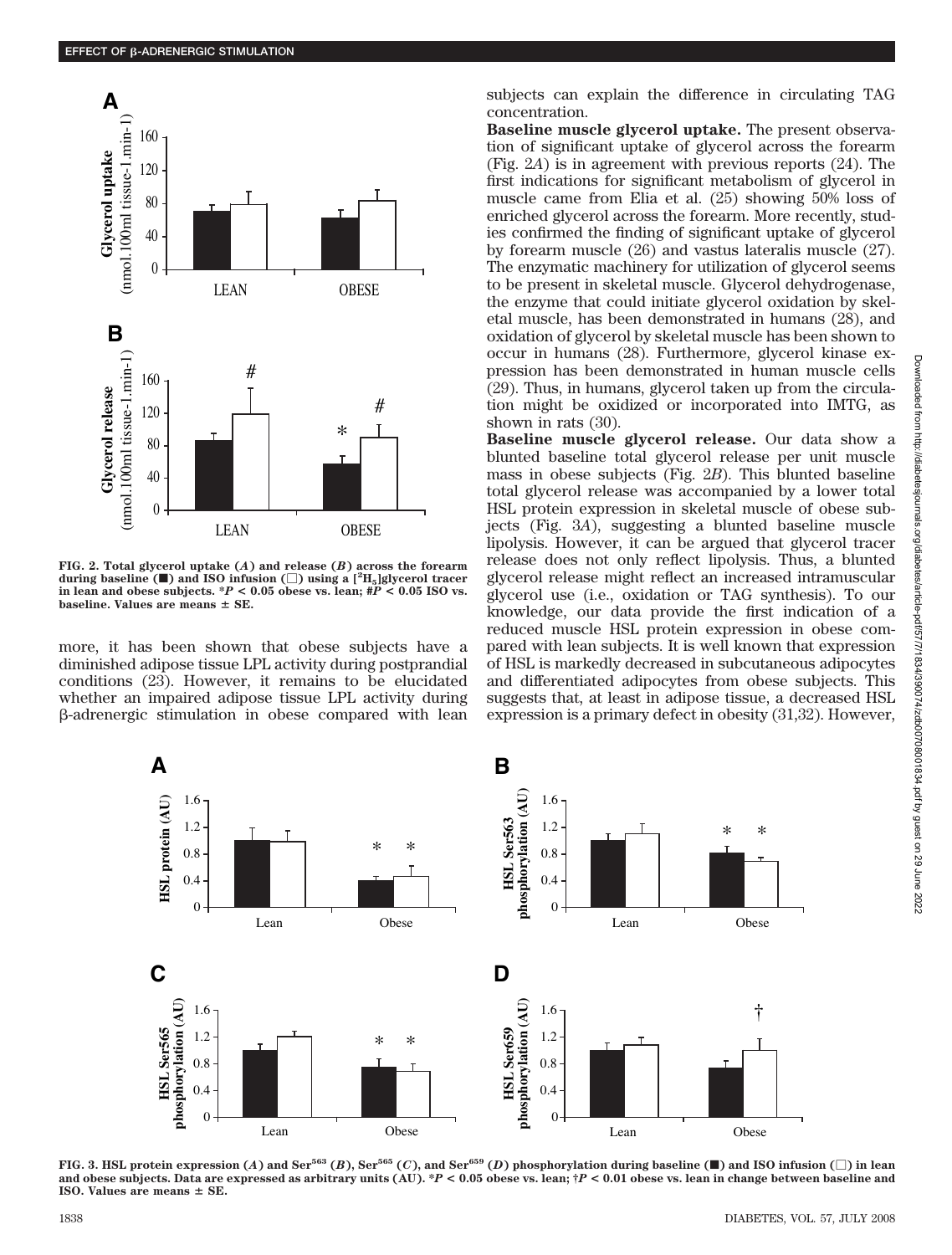

**FIG. 2. Total glycerol uptake (***A***) and release (***B***) across the forearm during baseline (**f**) and ISO infusion (**-**) using a [2 H5]glycerol tracer in lean and obese subjects. \****P* **< 0.05 obese vs. lean; #***P* **< 0.05 ISO vs.** baseline. Values are means  $\pm$  SE.

more, it has been shown that obese subjects have a diminished adipose tissue LPL activity during postprandial conditions (23). However, it remains to be elucidated whether an impaired adipose tissue LPL activity during  $\beta$ -adrenergic stimulation in obese compared with lean subjects can explain the difference in circulating TAG concentration.

**Baseline muscle glycerol uptake.** The present observation of significant uptake of glycerol across the forearm (Fig. 2*A*) is in agreement with previous reports (24). The first indications for significant metabolism of glycerol in muscle came from Elia et al. (25) showing 50% loss of enriched glycerol across the forearm. More recently, studies confirmed the finding of significant uptake of glycerol by forearm muscle (26) and vastus lateralis muscle (27). The enzymatic machinery for utilization of glycerol seems to be present in skeletal muscle. Glycerol dehydrogenase, the enzyme that could initiate glycerol oxidation by skeletal muscle, has been demonstrated in humans (28), and oxidation of glycerol by skeletal muscle has been shown to occur in humans (28). Furthermore, glycerol kinase expression has been demonstrated in human muscle cells (29). Thus, in humans, glycerol taken up from the circulation might be oxidized or incorporated into IMTG, as shown in rats (30).

**Baseline muscle glycerol release.** Our data show a blunted baseline total glycerol release per unit muscle mass in obese subjects (Fig. 2*B*). This blunted baseline total glycerol release was accompanied by a lower total HSL protein expression in skeletal muscle of obese subjects (Fig. 3*A*), suggesting a blunted baseline muscle lipolysis. However, it can be argued that glycerol tracer release does not only reflect lipolysis. Thus, a blunted glycerol release might reflect an increased intramuscular glycerol use (i.e., oxidation or TAG synthesis). To our knowledge, our data provide the first indication of a reduced muscle HSL protein expression in obese compared with lean subjects. It is well known that expression of HSL is markedly decreased in subcutaneous adipocytes and differentiated adipocytes from obese subjects. This suggests that, at least in adipose tissue, a decreased HSL expression is a primary defect in obesity (31,32). However,



FIG. 3. HSL protein expression (A) and Ser $^{563}$  (B), Ser $^{565}$  (C), and Ser $^{659}$  (D) phosphorylation during baseline (II) and ISO infusion ( $\Box$ ) in lean **and obese subjects. Data are expressed as arbitrary units (AU). \****P* **< 0.05 obese vs. lean; †***P* **< 0.01 obese vs. lean in change between baseline and ISO.** Values are means  $\pm$  **SE.**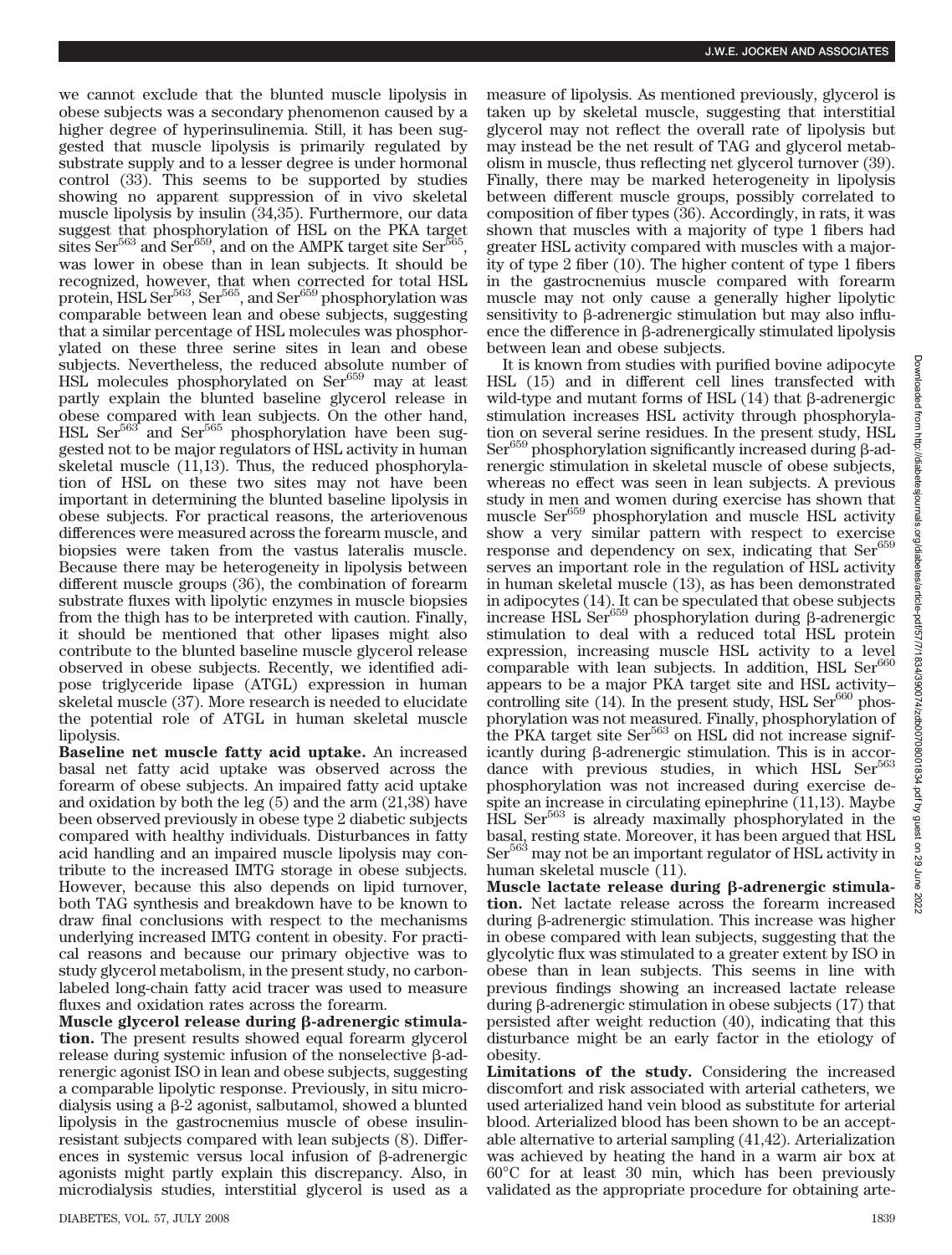we cannot exclude that the blunted muscle lipolysis in obese subjects was a secondary phenomenon caused by a higher degree of hyperinsulinemia. Still, it has been suggested that muscle lipolysis is primarily regulated by substrate supply and to a lesser degree is under hormonal control (33). This seems to be supported by studies showing no apparent suppression of in vivo skeletal muscle lipolysis by insulin (34,35). Furthermore, our data suggest that phosphorylation of HSL on the PKA target sites Ser<sup>563</sup> and Ser<sup>659</sup>, and on the AMPK target site Ser<sup>5</sup> was lower in obese than in lean subjects. It should be recognized, however, that when corrected for total HSL protein,  $HSL Ser<sup>563</sup>$ ,  $Ser<sup>565</sup>$ , and  $Ser<sup>659</sup>$  phosphorylation was comparable between lean and obese subjects, suggesting that a similar percentage of HSL molecules was phosphorylated on these three serine sites in lean and obese subjects. Nevertheless, the reduced absolute number of HSL molecules phosphorylated on Ser<sup>659</sup> may at least partly explain the blunted baseline glycerol release in obese compared with lean subjects. On the other hand, HSL  $\text{Ser}^{563}$  and  $\text{Ser}^{565}$  phosphorylation have been suggested not to be major regulators of HSL activity in human skeletal muscle (11,13). Thus, the reduced phosphorylation of HSL on these two sites may not have been important in determining the blunted baseline lipolysis in obese subjects. For practical reasons, the arteriovenous differences were measured across the forearm muscle, and biopsies were taken from the vastus lateralis muscle. Because there may be heterogeneity in lipolysis between different muscle groups (36), the combination of forearm substrate fluxes with lipolytic enzymes in muscle biopsies from the thigh has to be interpreted with caution. Finally, it should be mentioned that other lipases might also contribute to the blunted baseline muscle glycerol release observed in obese subjects. Recently, we identified adipose triglyceride lipase (ATGL) expression in human skeletal muscle (37). More research is needed to elucidate the potential role of ATGL in human skeletal muscle lipolysis.

**Baseline net muscle fatty acid uptake.** An increased basal net fatty acid uptake was observed across the forearm of obese subjects. An impaired fatty acid uptake and oxidation by both the leg (5) and the arm (21,38) have been observed previously in obese type 2 diabetic subjects compared with healthy individuals. Disturbances in fatty acid handling and an impaired muscle lipolysis may contribute to the increased IMTG storage in obese subjects. However, because this also depends on lipid turnover, both TAG synthesis and breakdown have to be known to draw final conclusions with respect to the mechanisms underlying increased IMTG content in obesity. For practical reasons and because our primary objective was to study glycerol metabolism, in the present study, no carbonlabeled long-chain fatty acid tracer was used to measure fluxes and oxidation rates across the forearm.

Muscle glycerol release during β-adrenergic stimula**tion.** The present results showed equal forearm glycerol release during systemic infusion of the nonselective  $\beta$ -adrenergic agonist ISO in lean and obese subjects, suggesting a comparable lipolytic response. Previously, in situ microdialysis using a  $\beta$ -2 agonist, salbutamol, showed a blunted lipolysis in the gastrocnemius muscle of obese insulinresistant subjects compared with lean subjects (8). Differences in systemic versus local infusion of  $\beta$ -adrenergic agonists might partly explain this discrepancy. Also, in microdialysis studies, interstitial glycerol is used as a

measure of lipolysis. As mentioned previously, glycerol is taken up by skeletal muscle, suggesting that interstitial glycerol may not reflect the overall rate of lipolysis but may instead be the net result of TAG and glycerol metabolism in muscle, thus reflecting net glycerol turnover (39). Finally, there may be marked heterogeneity in lipolysis between different muscle groups, possibly correlated to composition of fiber types (36). Accordingly, in rats, it was shown that muscles with a majority of type 1 fibers had greater HSL activity compared with muscles with a majority of type 2 fiber (10). The higher content of type 1 fibers in the gastrocnemius muscle compared with forearm muscle may not only cause a generally higher lipolytic sensitivity to  $\beta$ -adrenergic stimulation but may also influence the difference in  $\beta$ -adrenergically stimulated lipolysis between lean and obese subjects.

It is known from studies with purified bovine adipocyte HSL (15) and in different cell lines transfected with wild-type and mutant forms of HSL  $(14)$  that  $\beta$ -adrenergic stimulation increases HSL activity through phosphorylation on several serine residues. In the present study, HSL  $\text{Ser}^{659}$  phosphorylation significantly increased during  $\beta$ -adrenergic stimulation in skeletal muscle of obese subjects, whereas no effect was seen in lean subjects. A previous study in men and women during exercise has shown that muscle Ser659 phosphorylation and muscle HSL activity show a very similar pattern with respect to exercise response and dependency on sex, indicating that Ser<sup>659</sup> serves an important role in the regulation of HSL activity in human skeletal muscle (13), as has been demonstrated in adipocytes (14). It can be speculated that obese subjects increase HSL Ser<sup>659</sup> phosphorylation during β-adrenergic stimulation to deal with a reduced total HSL protein expression, increasing muscle HSL activity to a level comparable with lean subjects. In addition, HSL  $\text{Ser}^{660}$ appears to be a major PKA target site and HSL activity– controlling site  $(14)$ . In the present study, HSL Ser $^{660}$  phosphorylation was not measured. Finally, phosphorylation of the PKA target site Ser<sup>563</sup> on HSL did not increase significantly during  $\beta$ -adrenergic stimulation. This is in accordance with previous studies, in which HSL Ser<sup>563</sup> phosphorylation was not increased during exercise despite an increase in circulating epinephrine (11,13). Maybe HSL Ser563 is already maximally phosphorylated in the basal, resting state. Moreover, it has been argued that HSL Ser<sup>563</sup> may not be an important regulator of HSL activity in human skeletal muscle (11).

Muscle lactate release during β-adrenergic stimula**tion.** Net lactate release across the forearm increased during  $\beta$ -adrenergic stimulation. This increase was higher in obese compared with lean subjects, suggesting that the glycolytic flux was stimulated to a greater extent by ISO in obese than in lean subjects. This seems in line with previous findings showing an increased lactate release during  $\beta$ -adrenergic stimulation in obese subjects (17) that persisted after weight reduction (40), indicating that this disturbance might be an early factor in the etiology of obesity.

**Limitations of the study.** Considering the increased discomfort and risk associated with arterial catheters, we used arterialized hand vein blood as substitute for arterial blood. Arterialized blood has been shown to be an acceptable alternative to arterial sampling (41,42). Arterialization was achieved by heating the hand in a warm air box at 60°C for at least 30 min, which has been previously validated as the appropriate procedure for obtaining arte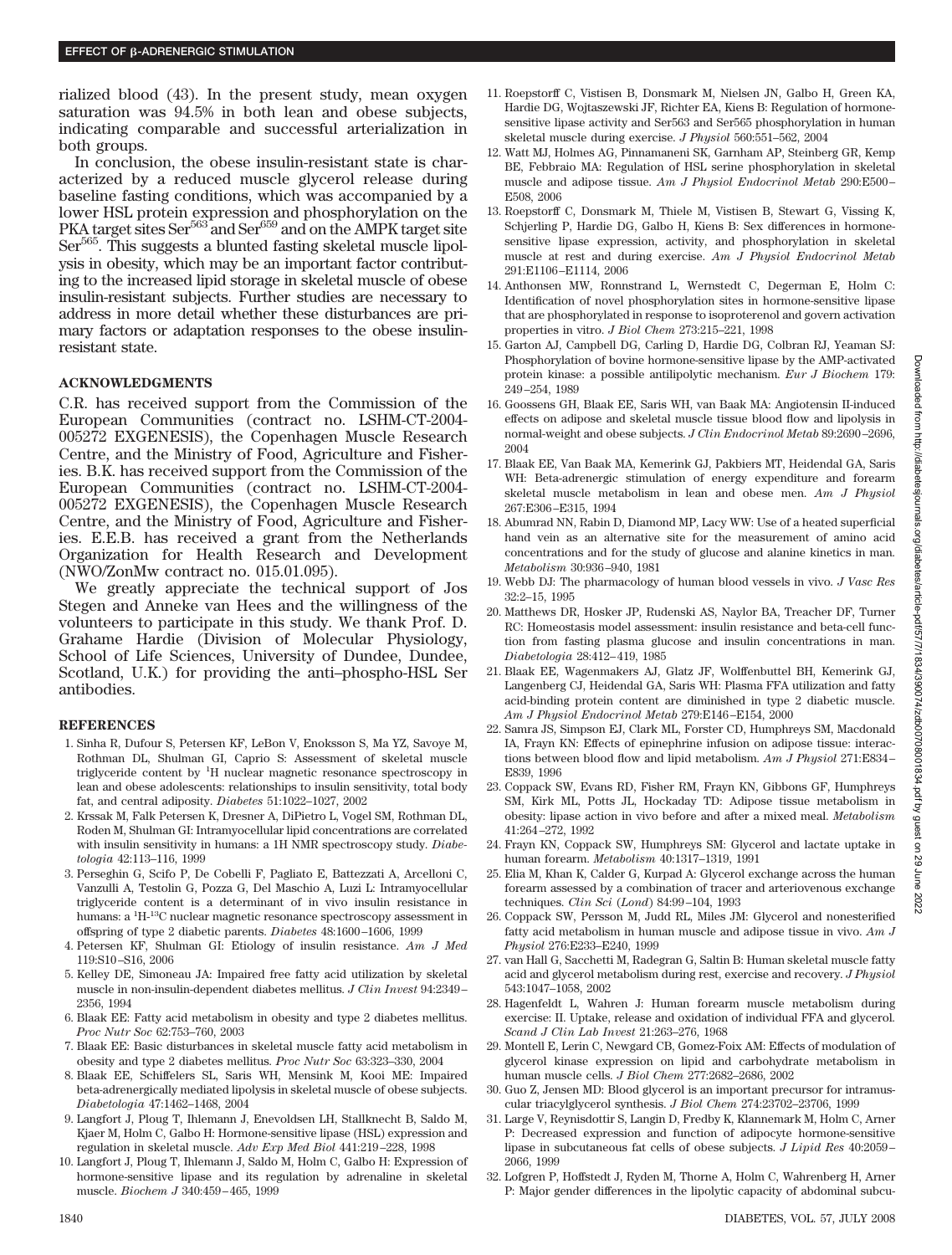rialized blood (43). In the present study, mean oxygen saturation was 94.5% in both lean and obese subjects, indicating comparable and successful arterialization in both groups.

In conclusion, the obese insulin-resistant state is characterized by a reduced muscle glycerol release during baseline fasting conditions, which was accompanied by a lower HSL protein expression and phosphorylation on the PKA target sites Ser<sup>563</sup> and Ser<sup>659</sup> and on the AMPK target site Ser<sup>565</sup>. This suggests a blunted fasting skeletal muscle lipolysis in obesity, which may be an important factor contributing to the increased lipid storage in skeletal muscle of obese insulin-resistant subjects. Further studies are necessary to address in more detail whether these disturbances are primary factors or adaptation responses to the obese insulinresistant state.

## **ACKNOWLEDGMENTS**

C.R. has received support from the Commission of the European Communities (contract no. LSHM-CT-2004- 005272 EXGENESIS), the Copenhagen Muscle Research Centre, and the Ministry of Food, Agriculture and Fisheries. B.K. has received support from the Commission of the European Communities (contract no. LSHM-CT-2004- 005272 EXGENESIS), the Copenhagen Muscle Research Centre, and the Ministry of Food, Agriculture and Fisheries. E.E.B. has received a grant from the Netherlands Organization for Health Research and Development (NWO/ZonMw contract no. 015.01.095).

We greatly appreciate the technical support of Jos Stegen and Anneke van Hees and the willingness of the volunteers to participate in this study. We thank Prof. D. Grahame Hardie (Division of Molecular Physiology, School of Life Sciences, University of Dundee, Dundee, Scotland, U.K.) for providing the anti–phospho-HSL Ser antibodies.

## **REFERENCES**

- 1. Sinha R, Dufour S, Petersen KF, LeBon V, Enoksson S, Ma YZ, Savoye M, Rothman DL, Shulman GI, Caprio S: Assessment of skeletal muscle triglyceride content by <sup>1</sup>H nuclear magnetic resonance spectroscopy in lean and obese adolescents: relationships to insulin sensitivity, total body fat, and central adiposity. *Diabetes* 51:1022–1027, 2002
- 2. Krssak M, Falk Petersen K, Dresner A, DiPietro L, Vogel SM, Rothman DL, Roden M, Shulman GI: Intramyocellular lipid concentrations are correlated with insulin sensitivity in humans: a 1H NMR spectroscopy study. *Diabetologia* 42:113–116, 1999
- 3. Perseghin G, Scifo P, De Cobelli F, Pagliato E, Battezzati A, Arcelloni C, Vanzulli A, Testolin G, Pozza G, Del Maschio A, Luzi L: Intramyocellular triglyceride content is a determinant of in vivo insulin resistance in humans: a <sup>1</sup>H-<sup>13</sup>C nuclear magnetic resonance spectroscopy assessment in offspring of type 2 diabetic parents. *Diabetes* 48:1600–1606, 1999
- 4. Petersen KF, Shulman GI: Etiology of insulin resistance. *Am J Med* 119:S10–S16, 2006
- 5. Kelley DE, Simoneau JA: Impaired free fatty acid utilization by skeletal muscle in non-insulin-dependent diabetes mellitus. *J Clin Invest* 94:2349– 2356, 1994
- 6. Blaak EE: Fatty acid metabolism in obesity and type 2 diabetes mellitus. *Proc Nutr Soc* 62:753–760, 2003
- 7. Blaak EE: Basic disturbances in skeletal muscle fatty acid metabolism in obesity and type 2 diabetes mellitus. *Proc Nutr Soc* 63:323–330, 2004
- 8. Blaak EE, Schiffelers SL, Saris WH, Mensink M, Kooi ME: Impaired beta-adrenergically mediated lipolysis in skeletal muscle of obese subjects. *Diabetologia* 47:1462–1468, 2004
- 9. Langfort J, Ploug T, Ihlemann J, Enevoldsen LH, Stallknecht B, Saldo M, Kjaer M, Holm C, Galbo H: Hormone-sensitive lipase (HSL) expression and regulation in skeletal muscle. *Adv Exp Med Biol* 441:219–228, 1998
- 10. Langfort J, Ploug T, Ihlemann J, Saldo M, Holm C, Galbo H: Expression of hormone-sensitive lipase and its regulation by adrenaline in skeletal muscle. *Biochem J* 340:459–465, 1999
- 11. Roepstorff C, Vistisen B, Donsmark M, Nielsen JN, Galbo H, Green KA, Hardie DG, Wojtaszewski JF, Richter EA, Kiens B: Regulation of hormonesensitive lipase activity and Ser563 and Ser565 phosphorylation in human skeletal muscle during exercise. *J Physiol* 560:551–562, 2004
- 12. Watt MJ, Holmes AG, Pinnamaneni SK, Garnham AP, Steinberg GR, Kemp BE, Febbraio MA: Regulation of HSL serine phosphorylation in skeletal muscle and adipose tissue. *Am J Physiol Endocrinol Metab* 290:E500– E508, 2006
- 13. Roepstorff C, Donsmark M, Thiele M, Vistisen B, Stewart G, Vissing K, Schjerling P, Hardie DG, Galbo H, Kiens B: Sex differences in hormonesensitive lipase expression, activity, and phosphorylation in skeletal muscle at rest and during exercise. *Am J Physiol Endocrinol Metab* 291:E1106–E1114, 2006
- 14. Anthonsen MW, Ronnstrand L, Wernstedt C, Degerman E, Holm C: Identification of novel phosphorylation sites in hormone-sensitive lipase that are phosphorylated in response to isoproterenol and govern activation properties in vitro. *J Biol Chem* 273:215–221, 1998
- 15. Garton AJ, Campbell DG, Carling D, Hardie DG, Colbran RJ, Yeaman SJ: Phosphorylation of bovine hormone-sensitive lipase by the AMP-activated protein kinase: a possible antilipolytic mechanism. *Eur J Biochem* 179: 249–254, 1989
- 16. Goossens GH, Blaak EE, Saris WH, van Baak MA: Angiotensin II-induced effects on adipose and skeletal muscle tissue blood flow and lipolysis in normal-weight and obese subjects. *J Clin Endocrinol Metab* 89:2690–2696, 2004
- 17. Blaak EE, Van Baak MA, Kemerink GJ, Pakbiers MT, Heidendal GA, Saris WH: Beta-adrenergic stimulation of energy expenditure and forearm skeletal muscle metabolism in lean and obese men. *Am J Physiol* 267:E306–E315, 1994
- 18. Abumrad NN, Rabin D, Diamond MP, Lacy WW: Use of a heated superficial hand vein as an alternative site for the measurement of amino acid concentrations and for the study of glucose and alanine kinetics in man. *Metabolism* 30:936–940, 1981
- 19. Webb DJ: The pharmacology of human blood vessels in vivo. *J Vasc Res* 32:2–15, 1995
- 20. Matthews DR, Hosker JP, Rudenski AS, Naylor BA, Treacher DF, Turner RC: Homeostasis model assessment: insulin resistance and beta-cell function from fasting plasma glucose and insulin concentrations in man. *Diabetologia* 28:412–419, 1985
- 21. Blaak EE, Wagenmakers AJ, Glatz JF, Wolffenbuttel BH, Kemerink GJ, Langenberg CJ, Heidendal GA, Saris WH: Plasma FFA utilization and fatty acid-binding protein content are diminished in type 2 diabetic muscle. *Am J Physiol Endocrinol Metab* 279:E146–E154, 2000
- 22. Samra JS, Simpson EJ, Clark ML, Forster CD, Humphreys SM, Macdonald IA, Frayn KN: Effects of epinephrine infusion on adipose tissue: interactions between blood flow and lipid metabolism. *Am J Physiol* 271:E834– E839, 1996
- 23. Coppack SW, Evans RD, Fisher RM, Frayn KN, Gibbons GF, Humphreys SM, Kirk ML, Potts JL, Hockaday TD: Adipose tissue metabolism in obesity: lipase action in vivo before and after a mixed meal. *Metabolism* 41:264–272, 1992
- 24. Frayn KN, Coppack SW, Humphreys SM: Glycerol and lactate uptake in human forearm. *Metabolism* 40:1317–1319, 1991
- 25. Elia M, Khan K, Calder G, Kurpad A: Glycerol exchange across the human forearm assessed by a combination of tracer and arteriovenous exchange techniques. *Clin Sci* (*Lond*) 84:99–104, 1993
- 26. Coppack SW, Persson M, Judd RL, Miles JM: Glycerol and nonesterified fatty acid metabolism in human muscle and adipose tissue in vivo. *Am J Physiol* 276:E233–E240, 1999
- 27. van Hall G, Sacchetti M, Radegran G, Saltin B: Human skeletal muscle fatty acid and glycerol metabolism during rest, exercise and recovery. *J Physiol* 543:1047–1058, 2002
- 28. Hagenfeldt L, Wahren J: Human forearm muscle metabolism during exercise: II. Uptake, release and oxidation of individual FFA and glycerol. *Scand J Clin Lab Invest* 21:263–276, 1968
- 29. Montell E, Lerin C, Newgard CB, Gomez-Foix AM: Effects of modulation of glycerol kinase expression on lipid and carbohydrate metabolism in human muscle cells. *J Biol Chem* 277:2682–2686, 2002
- 30. Guo Z, Jensen MD: Blood glycerol is an important precursor for intramuscular triacylglycerol synthesis. *J Biol Chem* 274:23702–23706, 1999
- 31. Large V, Reynisdottir S, Langin D, Fredby K, Klannemark M, Holm C, Arner P: Decreased expression and function of adipocyte hormone-sensitive lipase in subcutaneous fat cells of obese subjects. *J Lipid Res* 40:2059– 2066, 1999
- 32. Lofgren P, Hoffstedt J, Ryden M, Thorne A, Holm C, Wahrenberg H, Arner P: Major gender differences in the lipolytic capacity of abdominal subcu-